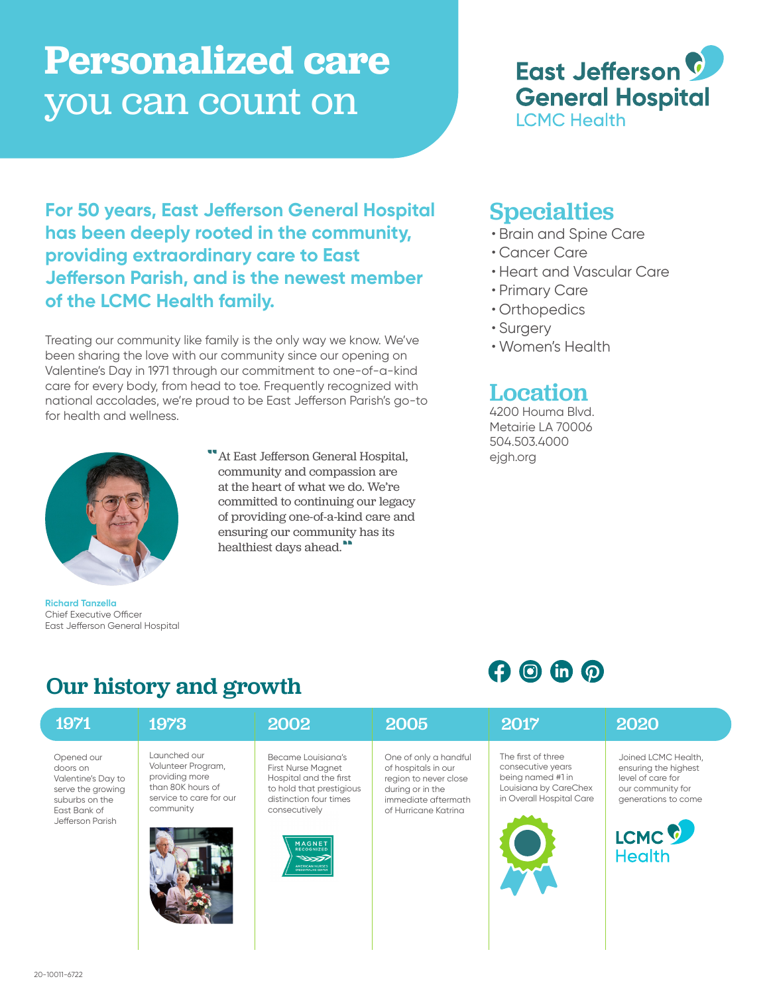# **Personalized care**  you can count on



**For 50 years, East Jefferson General Hospital has been deeply rooted in the community, providing extraordinary care to East Jefferson Parish, and is the newest member of the LCMC Health family.** 

Treating our community like family is the only way we know. We've been sharing the love with our community since our opening on Valentine's Day in 1971 through our commitment to one-of-a-kind care for every body, from head to toe. Frequently recognized with national accolades, we're proud to be East Jefferson Parish's go-to for health and wellness.



**Richard Tanzella**

Chief Executive Officer East Jefferson General Hospital

"At East Jefferson General Hospital, community and compassion are at the heart of what we do. We're committed to continuing our legacy of providing one-of-a-kind care and ensuring our community has its healthiest days ahead."

### **Specialties**

- Brain and Spine Care
- Cancer Care
- Heart and Vascular Care
- Primary Care
- Orthopedics
- Surgery
- Women's Health

# Location

4200 Houma Blvd. Metairie LA 70006 504.503.4000 ejgh.org

 $O$  (a) (b)  $O$ 

# Our history and growth